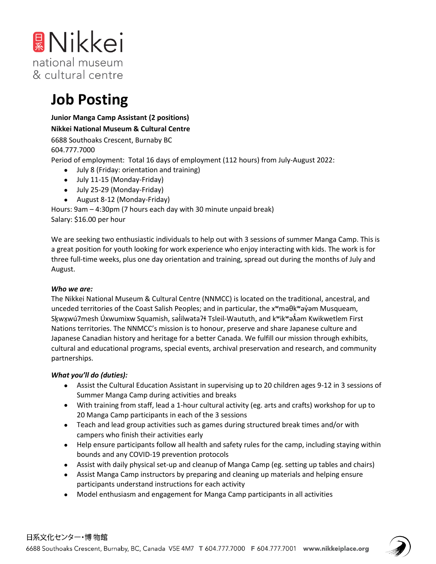

# **Job Posting**

**Junior Manga Camp Assistant (2 positions)**

## **Nikkei National Museum & Cultural Centre**

6688 Southoaks Crescent, Burnaby BC 604.777.7000 Period of employment: Total 16 days of employment (112 hours) from July-August 2022:

- July 8 (Friday: orientation and training)
- July 11-15 (Monday-Friday)
- July 25-29 (Monday-Friday)
- August 8-12 (Monday-Friday)

Hours: 9am – 4:30pm (7 hours each day with 30 minute unpaid break) Salary: \$16.00 per hour

We are seeking two enthusiastic individuals to help out with 3 sessions of summer Manga Camp. This is a great position for youth looking for work experience who enjoy interacting with kids. The work is for three full-time weeks, plus one day orientation and training, spread out during the months of July and August.

## *Who we are:*

The Nikkei National Museum & Cultural Centre (NNMCC) is located on the traditional, ancestral, and unceded territories of the Coast Salish Peoples; and in particular, the x<sup>w</sup>maθk<sup>w</sup>ay̓am Musqueam, Skwxwú7mesh Úxwumixw Squamish, səlilwəta?ł Tsleil-Waututh, and kʷikʷə $\tilde{\lambda}$ əm Kwikwetlem First Nations territories. The NNMCC's mission is to honour, preserve and share Japanese culture and Japanese Canadian history and heritage for a better Canada. We fulfill our mission through exhibits, cultural and educational programs, special events, archival preservation and research, and community partnerships.

## *What you'll do (duties):*

- Assist the Cultural Education Assistant in supervising up to 20 children ages 9-12 in 3 sessions of Summer Manga Camp during activities and breaks
- With training from staff, lead a 1-hour cultural activity (eg. arts and crafts) workshop for up to 20 Manga Camp participants in each of the 3 sessions
- Teach and lead group activities such as games during structured break times and/or with campers who finish their activities early
- Help ensure participants follow all health and safety rules for the camp, including staying within bounds and any COVID-19 prevention protocols
- Assist with daily physical set-up and cleanup of Manga Camp (eg. setting up tables and chairs)
- Assist Manga Camp instructors by preparing and cleaning up materials and helping ensure participants understand instructions for each activity
- Model enthusiasm and engagement for Manga Camp participants in all activities